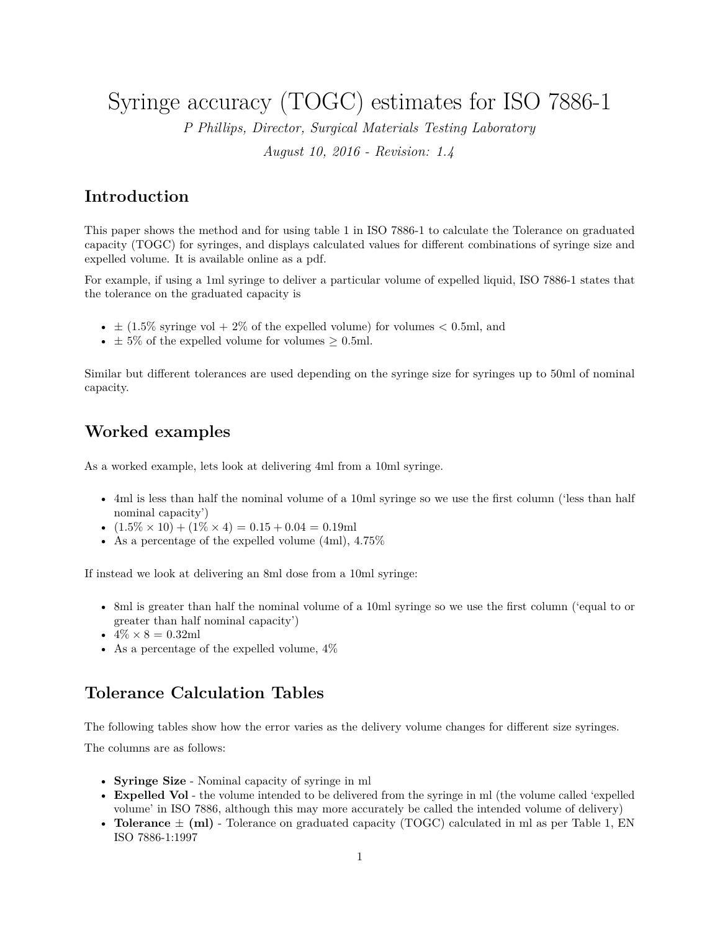Syringe accuracy (TOGC) estimates for ISO 7886-1

*P Phillips, Director, Surgical Materials Testing Laboratory*

*August 10, 2016 - Revision: 1.4*

## **Introduction**

This paper shows the method and for using table 1 in ISO 7886-1 to calculate the Tolerance on graduated capacity (TOGC) for syringes, and displays calculated values for different combinations of syringe size and expelled volume. [It is available online as a pdf.](http://smtl.co.uk/pete-phillips/224-togc-from-iso-7886-1.html)

For example, if using a 1ml syringe to deliver a particular volume of expelled liquid, ISO 7886-1 states that the tolerance on the graduated capacity is

- $\pm$  (1.5% syringe vol + 2% of the expelled volume) for volumes < 0.5ml, and
- $\pm$  5% of the expelled volume for volumes  $>$  0.5ml.

Similar but different tolerances are used depending on the syringe size for syringes up to 50ml of nominal capacity.

## **Worked examples**

As a worked example, lets look at delivering 4ml from a 10ml syringe.

- 4ml is less than half the nominal volume of a 10ml syringe so we use the first column ('less than half nominal capacity')
- $(1.5\% \times 10) + (1\% \times 4) = 0.15 + 0.04 = 0.19$ ml
- As a percentage of the expelled volume (4ml), 4*.*75%

If instead we look at delivering an 8ml dose from a 10ml syringe:

- 8ml is greater than half the nominal volume of a 10ml syringe so we use the first column ('equal to or greater than half nominal capacity')
- $4\% \times 8 = 0.32$ ml
- As a percentage of the expelled volume,  $4\%$

## **Tolerance Calculation Tables**

The following tables show how the error varies as the delivery volume changes for different size syringes.

The columns are as follows:

- **Syringe Size** Nominal capacity of syringe in ml
- **Expelled Vol** the volume intended to be delivered from the syringe in ml (the volume called 'expelled volume' in ISO 7886, although this may more accurately be called the intended volume of delivery)
- **Tolerance**  $\pm$  (ml) Tolerance on graduated capacity (TOGC) calculated in ml as per Table 1, EN ISO 7886-1:1997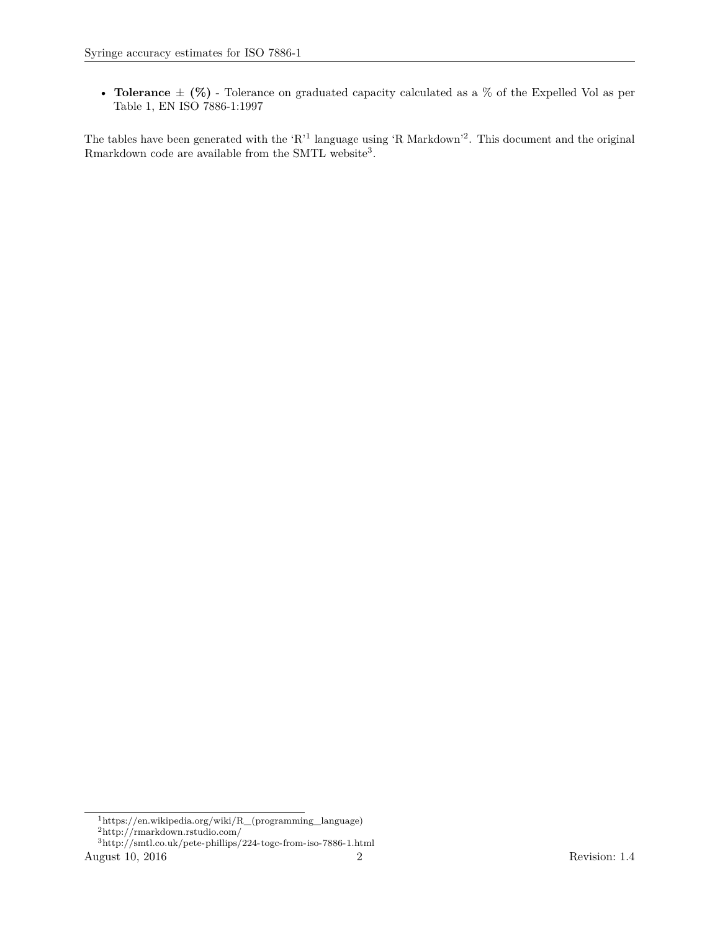• **Tolerance**  $\pm$  (%) - Tolerance on graduated capacity calculated as a % of the Expelled Vol as per Table 1, EN ISO 7886-1:1997

The tables have been generated with the 'R<sup>'[1](#page-1-0)</sup> language using 'R Markdown'<sup>[2](#page-1-1)</sup>. This document and the original Rmarkdown code are available from the SMTL website<sup>[3](#page-1-2)</sup>.

<span id="page-1-1"></span><span id="page-1-0"></span><sup>1</sup>[https://en.wikipedia.org/wiki/R\\_\(programming\\_language\)](https://en.wikipedia.org/wiki/R_(programming_language)) <sup>2</sup><http://rmarkdown.rstudio.com/>

<span id="page-1-2"></span><sup>3</sup><http://smtl.co.uk/pete-phillips/224-togc-from-iso-7886-1.html> August 10, 2016 2 Revision: 1.4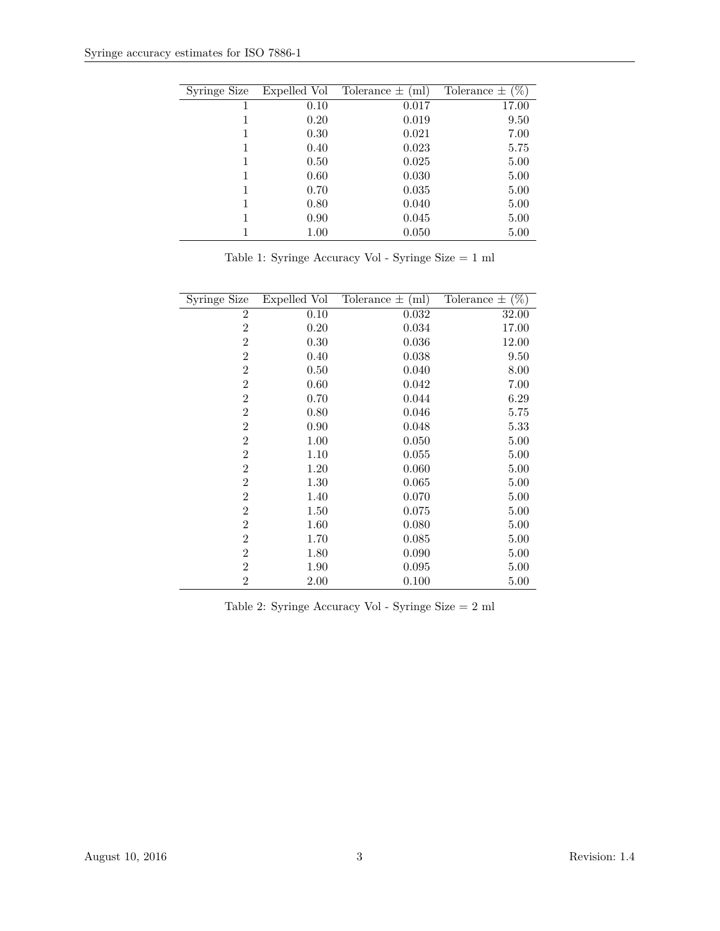| Syringe Size |      | Expelled Vol Tolerance $\pm$ (ml) | Tolerance $\pm$ (%) |
|--------------|------|-----------------------------------|---------------------|
|              | 0.10 | 0.017                             | 17.00               |
|              | 0.20 | 0.019                             | 9.50                |
|              | 0.30 | 0.021                             | 7.00                |
|              | 0.40 | 0.023                             | 5.75                |
|              | 0.50 | 0.025                             | 5.00                |
|              | 0.60 | 0.030                             | 5.00                |
|              | 0.70 | 0.035                             | 5.00                |
|              | 0.80 | 0.040                             | 5.00                |
|              | 0.90 | 0.045                             | 5.00                |
|              | 1.00 | 0.050                             | 5.00                |

Table 1: Syringe Accuracy Vol - Syringe Size = 1 ml

| Syringe Size   | Expelled Vol | Tolerance $\pm$ (ml) | Tolerance $\pm$ (%) |
|----------------|--------------|----------------------|---------------------|
| $\overline{2}$ | 0.10         | 0.032                | 32.00               |
| $\overline{2}$ | 0.20         | 0.034                | 17.00               |
| $\overline{2}$ | 0.30         | 0.036                | 12.00               |
| $\overline{2}$ | 0.40         | 0.038                | 9.50                |
| $\overline{2}$ | 0.50         | 0.040                | 8.00                |
| $\overline{2}$ | 0.60         | 0.042                | 7.00                |
| $\overline{2}$ | 0.70         | 0.044                | 6.29                |
| $\overline{2}$ | 0.80         | 0.046                | 5.75                |
| $\overline{2}$ | 0.90         | 0.048                | 5.33                |
| $\overline{2}$ | 1.00         | 0.050                | 5.00                |
| $\overline{2}$ | 1.10         | 0.055                | 5.00                |
| $\overline{2}$ | 1.20         | 0.060                | 5.00                |
| $\overline{2}$ | 1.30         | 0.065                | 5.00                |
| $\overline{2}$ | 1.40         | 0.070                | 5.00                |
| $\overline{2}$ | 1.50         | 0.075                | 5.00                |
| $\overline{2}$ | 1.60         | 0.080                | 5.00                |
| $\overline{2}$ | 1.70         | 0.085                | 5.00                |
| $\overline{2}$ | 1.80         | 0.090                | 5.00                |
| $\overline{2}$ | 1.90         | 0.095                | 5.00                |
| $\overline{2}$ | 2.00         | 0.100                | 5.00                |

Table 2: Syringe Accuracy Vol - Syringe Size = 2 ml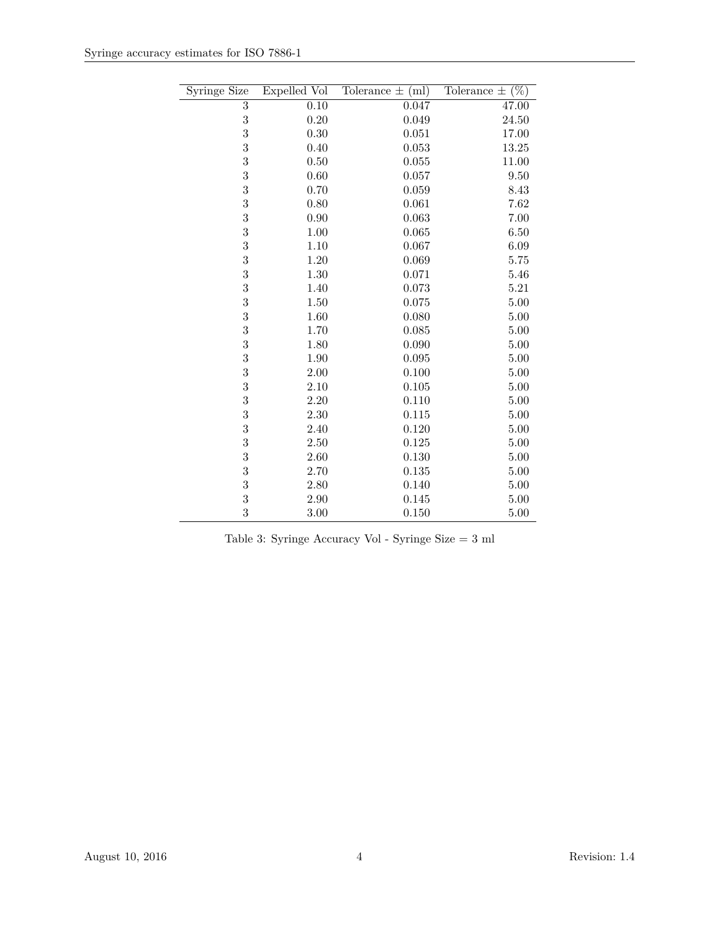| <b>Syringe Size</b> | Expelled Vol | (ml)<br>Tolerance $\pm$ | $(\%)$<br>Tolerance $\pm$ |
|---------------------|--------------|-------------------------|---------------------------|
| $\overline{3}$      | 0.10         | 0.047                   | 47.00                     |
| 3                   | 0.20         | 0.049                   | 24.50                     |
| 3                   | 0.30         | 0.051                   | 17.00                     |
| 3                   | 0.40         | 0.053                   | 13.25                     |
| 3                   | 0.50         | 0.055                   | 11.00                     |
| 3                   | 0.60         | $0.057\,$               | 9.50                      |
| 3                   | 0.70         | 0.059                   | 8.43                      |
| 3                   | 0.80         | 0.061                   | 7.62                      |
| 3                   | 0.90         | 0.063                   | 7.00                      |
| 3                   | 1.00         | 0.065                   | 6.50                      |
| 3                   | 1.10         | 0.067                   | 6.09                      |
| 3                   | 1.20         | 0.069                   | 5.75                      |
| 3                   | 1.30         | 0.071                   | 5.46                      |
| 3                   | 1.40         | 0.073                   | 5.21                      |
| 3                   | 1.50         | 0.075                   | 5.00                      |
| 3                   | 1.60         | 0.080                   | 5.00                      |
| 3                   | 1.70         | 0.085                   | 5.00                      |
| 3                   | 1.80         | 0.090                   | 5.00                      |
| 3                   | 1.90         | 0.095                   | 5.00                      |
| 3                   | 2.00         | 0.100                   | 5.00                      |
| 3                   | 2.10         | 0.105                   | 5.00                      |
| 3                   | 2.20         | 0.110                   | 5.00                      |
| 3                   | 2.30         | 0.115                   | 5.00                      |
| 3                   | 2.40         | 0.120                   | 5.00                      |
| 3                   | 2.50         | 0.125                   | 5.00                      |
| 3                   | 2.60         | 0.130                   | 5.00                      |
| 3                   | 2.70         | 0.135                   | 5.00                      |
| 3                   | 2.80         | 0.140                   | 5.00                      |
| 3                   | 2.90         | 0.145                   | $5.00\,$                  |
| 3                   | 3.00         | 0.150                   | 5.00                      |

| Table 3: Syringe Accuracy Vol - Syringe Size $=$ 3 ml |  |  |  |  |
|-------------------------------------------------------|--|--|--|--|
|-------------------------------------------------------|--|--|--|--|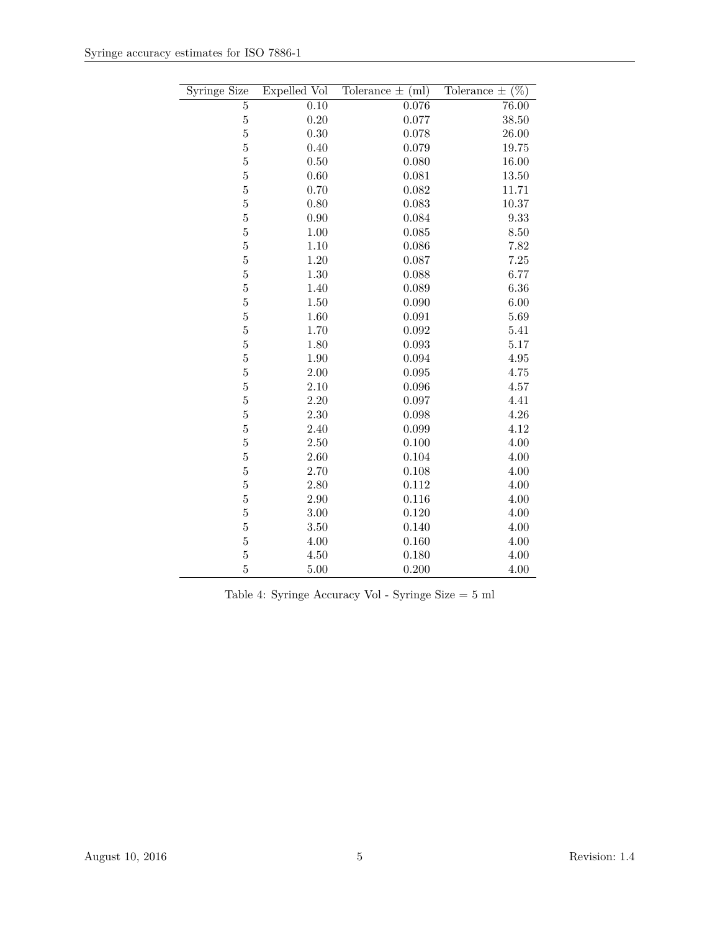| <b>Syringe Size</b> | Expelled Vol | (ml)<br>Tolerance $\pm$ | $(\%)$<br>Tolerance $\pm$ |
|---------------------|--------------|-------------------------|---------------------------|
| $\overline{5}$      | 0.10         | 0.076                   | 76.00                     |
| $\overline{5}$      | 0.20         | 0.077                   | 38.50                     |
| $\bf 5$             | 0.30         | 0.078                   | 26.00                     |
| $\overline{5}$      | 0.40         | 0.079                   | 19.75                     |
| $\overline{5}$      | 0.50         | 0.080                   | 16.00                     |
| $\overline{5}$      | $0.60\,$     | 0.081                   | 13.50                     |
| $\overline{5}$      | 0.70         | 0.082                   | 11.71                     |
| $\bf 5$             | 0.80         | 0.083                   | 10.37                     |
| $\bf 5$             | 0.90         | 0.084                   | 9.33                      |
| $\bf 5$             | 1.00         | 0.085                   | 8.50                      |
| $\bf 5$             | 1.10         | 0.086                   | 7.82                      |
| $\bf 5$             | 1.20         | 0.087                   | 7.25                      |
| $\overline{5}$      | $1.30\,$     | 0.088                   | 6.77                      |
| $\overline{5}$      | 1.40         | 0.089                   | 6.36                      |
| $\overline{5}$      | 1.50         | 0.090                   | 6.00                      |
| $\bf 5$             | 1.60         | 0.091                   | 5.69                      |
| $\bf 5$             | 1.70         | 0.092                   | 5.41                      |
| $\bf 5$             | 1.80         | 0.093                   | 5.17                      |
| $\bf 5$             | 1.90         | 0.094                   | 4.95                      |
| $\bf 5$             | 2.00         | 0.095                   | 4.75                      |
| $\overline{5}$      | 2.10         | 0.096                   | 4.57                      |
| $\overline{5}$      | $2.20\,$     | 0.097                   | 4.41                      |
| $\overline{5}$      | 2.30         | 0.098                   | 4.26                      |
| $\bf 5$             | 2.40         | 0.099                   | 4.12                      |
| $\bf 5$             | 2.50         | 0.100                   | 4.00                      |
| $\bf 5$             | 2.60         | 0.104                   | 4.00                      |
| $\bf 5$             | 2.70         | 0.108                   | 4.00                      |
| $\bf 5$             | 2.80         | 0.112                   | 4.00                      |
| $\bf 5$             | $2.90\,$     | 0.116                   | 4.00                      |
| $\overline{5}$      | $3.00\,$     | 0.120                   | 4.00                      |
| $\bf 5$             | 3.50         | 0.140                   | 4.00                      |
| $\bf 5$             | 4.00         | 0.160                   | 4.00                      |
| $\bf 5$             | 4.50         | 0.180                   | 4.00                      |
| $\overline{5}$      | 5.00         | 0.200                   | 4.00                      |

Table 4: Syringe Accuracy Vol - Syringe Size = 5 ml

 $\overline{\phantom{0}}$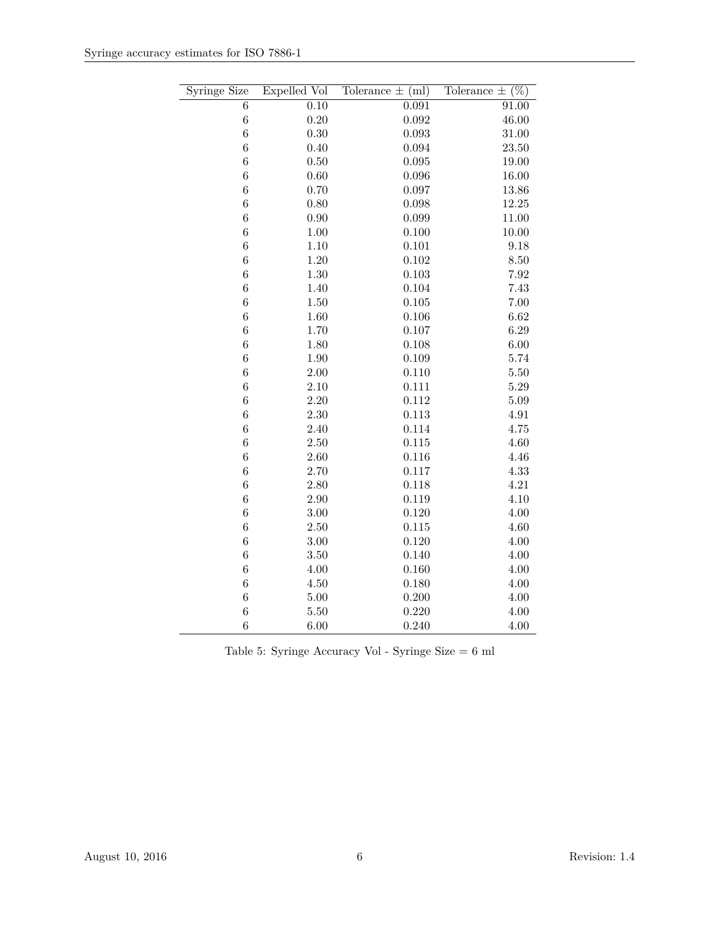| <b>Syringe Size</b> | Expelled Vol      | Tolerance $\pm$ (ml) | Tolerance $\pm$ (%) |
|---------------------|-------------------|----------------------|---------------------|
| $\overline{6}$      | $\overline{0.10}$ | 0.091                | 91.00               |
| $\boldsymbol{6}$    | 0.20              | 0.092                | 46.00               |
| $\boldsymbol{6}$    | 0.30              | 0.093                | 31.00               |
| $\boldsymbol{6}$    | 0.40              | 0.094                | 23.50               |
| $\boldsymbol{6}$    | 0.50              | 0.095                | 19.00               |
| $\boldsymbol{6}$    | 0.60              | 0.096                | 16.00               |
| $\overline{6}$      | 0.70              | 0.097                | 13.86               |
| $\overline{6}$      | 0.80              | 0.098                | 12.25               |
| 6                   | 0.90              | 0.099                | 11.00               |
| 6                   | 1.00              | 0.100                | 10.00               |
| $\overline{6}$      | 1.10              | 0.101                | 9.18                |
| $\boldsymbol{6}$    | 1.20              | 0.102                | 8.50                |
| $\,$ 6 $\,$         | 1.30              | 0.103                | 7.92                |
| $\boldsymbol{6}$    | 1.40              | 0.104                | 7.43                |
| $\boldsymbol{6}$    | 1.50              | 0.105                | 7.00                |
| $\overline{6}$      | 1.60              | 0.106                | 6.62                |
| $\boldsymbol{6}$    | 1.70              | 0.107                | 6.29                |
| $\overline{6}$      | 1.80              | 0.108                | 6.00                |
| $\overline{6}$      | 1.90              | 0.109                | 5.74                |
| 6                   | 2.00              | 0.110                | 5.50                |
| $\overline{6}$      | 2.10              | 0.111                | $5.29\,$            |
| $\overline{6}$      | $2.20\,$          | 0.112                | 5.09                |
| $\boldsymbol{6}$    | 2.30              | 0.113                | 4.91                |
| $\overline{6}$      | 2.40              | 0.114                | 4.75                |
| $\overline{6}$      | 2.50              | 0.115                | 4.60                |
| $\boldsymbol{6}$    | $2.60\,$          | 0.116                | 4.46                |
| 6                   | 2.70              | 0.117                | 4.33                |
| $\boldsymbol{6}$    | 2.80              | 0.118                | 4.21                |
| 6                   | 2.90              | 0.119                | 4.10                |
| $\overline{6}$      | $3.00\,$          | 0.120                | 4.00                |
| 6                   | 2.50              | 0.115                | 4.60                |
| $\boldsymbol{6}$    | 3.00              | 0.120                | 4.00                |
| $\boldsymbol{6}$    | 3.50              | 0.140                | 4.00                |
| $\boldsymbol{6}$    | 4.00              | 0.160                | 4.00                |
| $\overline{6}$      | 4.50              | 0.180                | 4.00                |
| $\boldsymbol{6}$    | $5.00\,$          | 0.200                | 4.00                |
| $\boldsymbol{6}$    | $5.50\,$          | 0.220                | 4.00                |
| $\overline{6}$      | 6.00              | 0.240                | 4.00                |

Table 5: Syringe Accuracy Vol - Syringe Size = 6 ml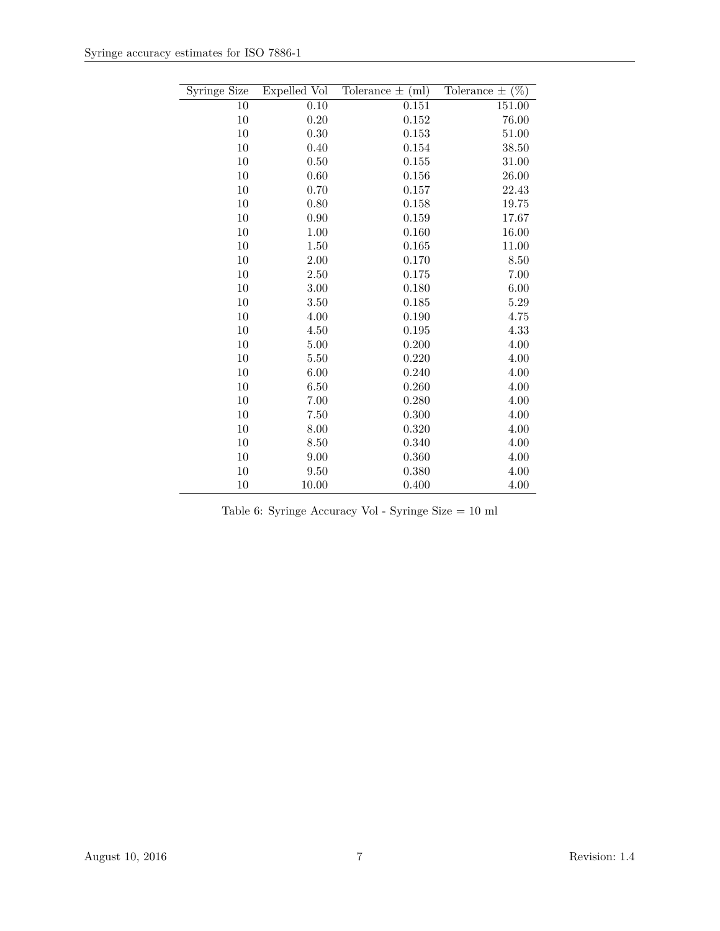| Syringe Size | Expelled Vol | Tolerance $\pm$ (ml) | $\overline{(\%)}$<br>Tolerance $\pm$ |
|--------------|--------------|----------------------|--------------------------------------|
| 10           | 0.10         | 0.151                | 151.00                               |
|              |              |                      |                                      |
| 10           | 0.20         | 0.152                | 76.00                                |
| 10           | 0.30         | 0.153                | 51.00                                |
| 10           | 0.40         | 0.154                | 38.50                                |
| 10           | 0.50         | 0.155                | $31.00\,$                            |
| 10           | 0.60         | 0.156                | 26.00                                |
| 10           | 0.70         | 0.157                | 22.43                                |
| 10           | 0.80         | 0.158                | 19.75                                |
| 10           | 0.90         | 0.159                | 17.67                                |
| 10           | 1.00         | 0.160                | 16.00                                |
| 10           | 1.50         | 0.165                | 11.00                                |
| 10           | 2.00         | 0.170                | 8.50                                 |
| 10           | 2.50         | 0.175                | 7.00                                 |
| 10           | 3.00         | 0.180                | 6.00                                 |
| 10           | 3.50         | 0.185                | 5.29                                 |
| 10           | 4.00         | 0.190                | 4.75                                 |
| $10\,$       | 4.50         | 0.195                | 4.33                                 |
| 10           | 5.00         | 0.200                | 4.00                                 |
| 10           | 5.50         | 0.220                | 4.00                                 |
| 10           | 6.00         | 0.240                | 4.00                                 |
| 10           | 6.50         | 0.260                | 4.00                                 |
| 10           | 7.00         | 0.280                | 4.00                                 |
| 10           | 7.50         | 0.300                | 4.00                                 |
| 10           | 8.00         | 0.320                | 4.00                                 |
| 10           | 8.50         | 0.340                | 4.00                                 |
| 10           | 9.00         | 0.360                | 4.00                                 |
| 10           | 9.50         | 0.380                | 4.00                                 |
| 10           | 10.00        | 0.400                | 4.00                                 |

Table 6: Syringe Accuracy Vol - Syringe Size = 10 ml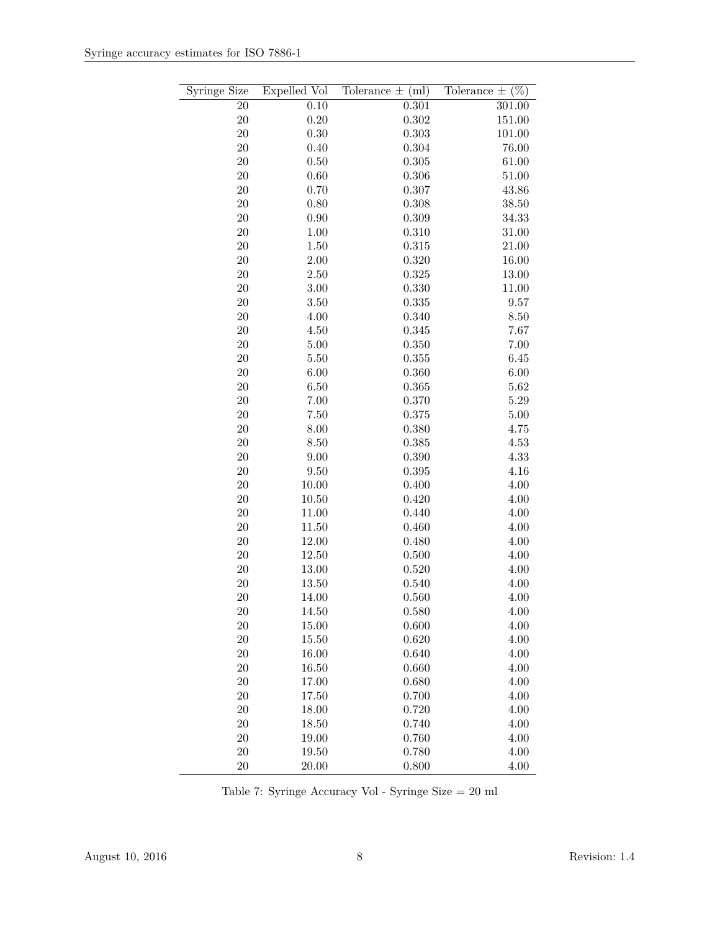| <b>Syringe Size</b> | Expelled Vol | Tolerance $\pm$ (ml) | $(\%)$<br>Tolerance $\pm$ |
|---------------------|--------------|----------------------|---------------------------|
| <b>20</b>           | 0.10         | 0.301                | 301.00                    |
| $20\,$              | 0.20         | 0.302                | 151.00                    |
| $20\,$              | 0.30         | 0.303                | 101.00                    |
| 20                  | 0.40         | 0.304                | 76.00                     |
| $20\,$              | 0.50         | 0.305                | 61.00                     |
| 20                  | 0.60         | 0.306                | 51.00                     |
| 20                  | 0.70         | 0.307                | 43.86                     |
| $20\,$              | 0.80         | 0.308                | 38.50                     |
| $20\,$              | 0.90         | 0.309                | 34.33                     |
| 20                  | 1.00         | 0.310                | 31.00                     |
| 20                  | 1.50         | 0.315                | 21.00                     |
| 20                  | 2.00         | 0.320                | 16.00                     |
| 20                  | 2.50         | 0.325                | 13.00                     |
| $20\,$              | 3.00         | 0.330                | 11.00                     |
| 20                  | 3.50         | 0.335                | 9.57                      |
| 20                  | 4.00         | 0.340                | 8.50                      |
| 20                  | 4.50         | 0.345                | 7.67                      |
| 20                  | 5.00         | 0.350                | 7.00                      |
| 20                  | 5.50         | 0.355                | 6.45                      |
| 20                  | 6.00         | 0.360                | 6.00                      |
| 20                  | 6.50         | 0.365                | 5.62                      |
| 20                  | 7.00         | 0.370                | 5.29                      |
| 20                  | 7.50         | 0.375                | 5.00                      |
| 20                  | 8.00         | 0.380                | 4.75                      |
| $20\,$              | 8.50         | 0.385                | 4.53                      |
| 20                  | 9.00         | 0.390                | 4.33                      |
| 20                  | 9.50         | 0.395                | 4.16                      |
| 20                  | 10.00        | 0.400                | 4.00                      |
| $20\,$              | 10.50        | 0.420                | 4.00                      |
| $20\,$              | 11.00        | 0.440                | 4.00                      |
| 20                  | 11.50        | 0.460                | 4.00                      |
| 20                  | 12.00        | 0.480                | 4.00                      |
| $20\,$              | 12.50        | 0.500                | 4.00                      |
| $20\,$              | 13.00        | 0.520                | 4.00                      |
| $20\,$              | 13.50        | 0.540                | 4.00                      |
| 20                  | 14.00        | 0.560                | 4.00                      |
| <b>20</b>           | 14.50        | 0.580                | 4.00                      |
| $20\,$              | 15.00        | 0.600                | 4.00                      |
| $20\,$              | 15.50        | 0.620                | 4.00                      |
| $20\,$              | 16.00        | 0.640                | 4.00                      |
| $20\,$              | 16.50        | 0.660                | 4.00                      |
| $20\,$              | 17.00        | 0.680                | 4.00                      |
| $20\,$              | 17.50        | 0.700                | 4.00                      |
| $20\,$              | 18.00        | 0.720                | 4.00                      |
| $20\,$              | 18.50        | 0.740                | 4.00                      |
| $20\,$              | 19.00        | 0.760                | 4.00                      |
| $20\,$              | 19.50        | 0.780                | 4.00                      |
| 20                  | 20.00        | 0.800                | 4.00                      |

Table 7: Syringe Accuracy Vol - Syringe Size = 20 ml